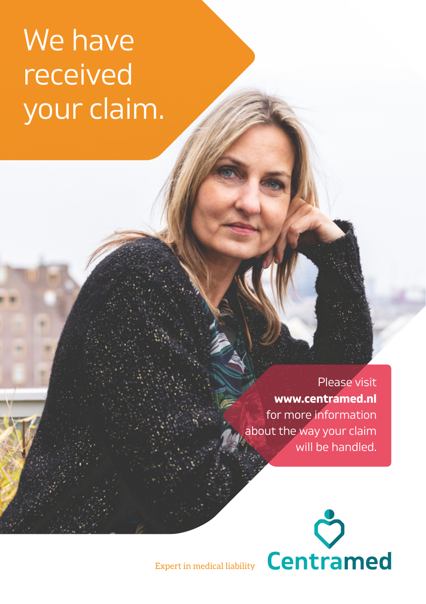# We have received your claim.

Please visit **[www.centramed.nl](http://www.centramed.nl)** for more information about the way your claim will be handled.